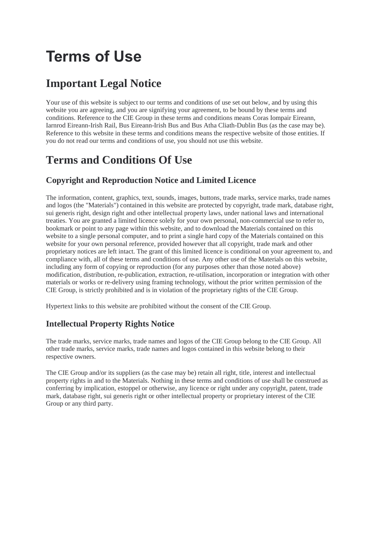# **Terms of Use**

## **Important Legal Notice**

Your use of this website is subject to our terms and conditions of use set out below, and by using this website you are agreeing, and you are signifying your agreement, to be bound by these terms and conditions. Reference to the CIE Group in these terms and conditions means Coras Iompair Eireann, Iarnrod Eireann-Irish Rail, Bus Eireann-Irish Bus and Bus Atha Cliath-Dublin Bus (as the case may be). Reference to this website in these terms and conditions means the respective website of those entities. If you do not read our terms and conditions of use, you should not use this website.

## **Terms and Conditions Of Use**

### **Copyright and Reproduction Notice and Limited Licence**

The information, content, graphics, text, sounds, images, buttons, trade marks, service marks, trade names and logos (the "Materials") contained in this website are protected by copyright, trade mark, database right, sui generis right, design right and other intellectual property laws, under national laws and international treaties. You are granted a limited licence solely for your own personal, non-commercial use to refer to, bookmark or point to any page within this website, and to download the Materials contained on this website to a single personal computer, and to print a single hard copy of the Materials contained on this website for your own personal reference, provided however that all copyright, trade mark and other proprietary notices are left intact. The grant of this limited licence is conditional on your agreement to, and compliance with, all of these terms and conditions of use. Any other use of the Materials on this website, including any form of copying or reproduction (for any purposes other than those noted above) modification, distribution, re-publication, extraction, re-utilisation, incorporation or integration with other materials or works or re-delivery using framing technology, without the prior written permission of the CIE Group, is strictly prohibited and is in violation of the proprietary rights of the CIE Group.

Hypertext links to this website are prohibited without the consent of the CIE Group.

#### **Intellectual Property Rights Notice**

The trade marks, service marks, trade names and logos of the CIE Group belong to the CIE Group. All other trade marks, service marks, trade names and logos contained in this website belong to their respective owners.

The CIE Group and/or its suppliers (as the case may be) retain all right, title, interest and intellectual property rights in and to the Materials. Nothing in these terms and conditions of use shall be construed as conferring by implication, estoppel or otherwise, any licence or right under any copyright, patent, trade mark, database right, sui generis right or other intellectual property or proprietary interest of the CIE Group or any third party.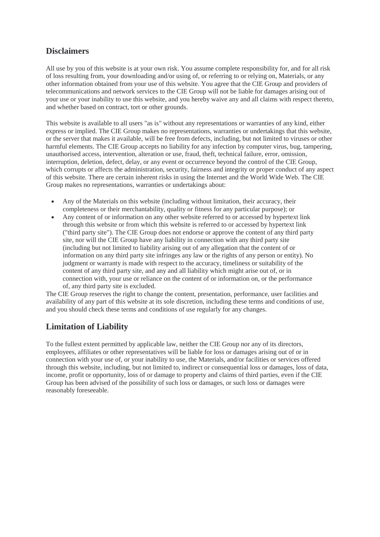#### **Disclaimers**

All use by you of this website is at your own risk. You assume complete responsibility for, and for all risk of loss resulting from, your downloading and/or using of, or referring to or relying on, Materials, or any other information obtained from your use of this website. You agree that the CIE Group and providers of telecommunications and network services to the CIE Group will not be liable for damages arising out of your use or your inability to use this website, and you hereby waive any and all claims with respect thereto, and whether based on contract, tort or other grounds.

This website is available to all users "as is" without any representations or warranties of any kind, either express or implied. The CIE Group makes no representations, warranties or undertakings that this website, or the server that makes it available, will be free from defects, including, but not limited to viruses or other harmful elements. The CIE Group accepts no liability for any infection by computer virus, bug, tampering, unauthorised access, intervention, alteration or use, fraud, theft, technical failure, error, omission, interruption, deletion, defect, delay, or any event or occurrence beyond the control of the CIE Group, which corrupts or affects the administration, security, fairness and integrity or proper conduct of any aspect of this website. There are certain inherent risks in using the Internet and the World Wide Web. The CIE Group makes no representations, warranties or undertakings about:

- Any of the Materials on this website (including without limitation, their accuracy, their completeness or their merchantability, quality or fitness for any particular purpose); or
- Any content of or information on any other website referred to or accessed by hypertext link through this website or from which this website is referred to or accessed by hypertext link ("third party site"). The CIE Group does not endorse or approve the content of any third party site, nor will the CIE Group have any liability in connection with any third party site (including but not limited to liability arising out of any allegation that the content of or information on any third party site infringes any law or the rights of any person or entity). No judgment or warranty is made with respect to the accuracy, timeliness or suitability of the content of any third party site, and any and all liability which might arise out of, or in connection with, your use or reliance on the content of or information on, or the performance of, any third party site is excluded.

The CIE Group reserves the right to change the content, presentation, performance, user facilities and availability of any part of this website at its sole discretion, including these terms and conditions of use, and you should check these terms and conditions of use regularly for any changes.

#### **Limitation of Liability**

To the fullest extent permitted by applicable law, neither the CIE Group nor any of its directors, employees, affiliates or other representatives will be liable for loss or damages arising out of or in connection with your use of, or your inability to use, the Materials, and/or facilities or services offered through this website, including, but not limited to, indirect or consequential loss or damages, loss of data, income, profit or opportunity, loss of or damage to property and claims of third parties, even if the CIE Group has been advised of the possibility of such loss or damages, or such loss or damages were reasonably foreseeable.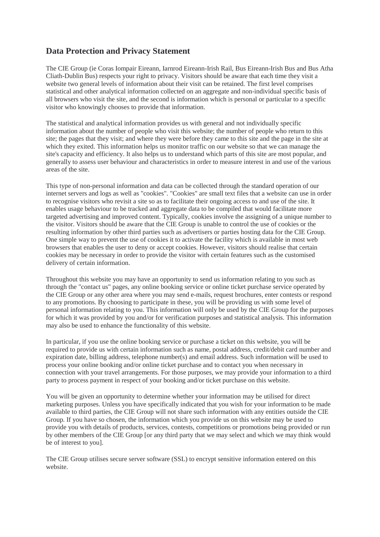#### **Data Protection and Privacy Statement**

The CIE Group (ie Coras Iompair Eireann, Iarnrod Eireann-Irish Rail, Bus Eireann-Irish Bus and Bus Atha Cliath-Dublin Bus) respects your right to privacy. Visitors should be aware that each time they visit a website two general levels of information about their visit can be retained. The first level comprises statistical and other analytical information collected on an aggregate and non-individual specific basis of all browsers who visit the site, and the second is information which is personal or particular to a specific visitor who knowingly chooses to provide that information.

The statistical and analytical information provides us with general and not individually specific information about the number of people who visit this website; the number of people who return to this site; the pages that they visit; and where they were before they came to this site and the page in the site at which they exited. This information helps us monitor traffic on our website so that we can manage the site's capacity and efficiency. It also helps us to understand which parts of this site are most popular, and generally to assess user behaviour and characteristics in order to measure interest in and use of the various areas of the site.

This type of non-personal information and data can be collected through the standard operation of our internet servers and logs as well as "cookies". "Cookies" are small text files that a website can use in order to recognise visitors who revisit a site so as to facilitate their ongoing access to and use of the site. It enables usage behaviour to be tracked and aggregate data to be compiled that would facilitate more targeted advertising and improved content. Typically, cookies involve the assigning of a unique number to the visitor. Visitors should be aware that the CIE Group is unable to control the use of cookies or the resulting information by other third parties such as advertisers or parties hosting data for the CIE Group. One simple way to prevent the use of cookies it to activate the facility which is available in most web browsers that enables the user to deny or accept cookies. However, visitors should realise that certain cookies may be necessary in order to provide the visitor with certain features such as the customised delivery of certain information.

Throughout this website you may have an opportunity to send us information relating to you such as through the "contact us" pages, any online booking service or online ticket purchase service operated by the CIE Group or any other area where you may send e-mails, request brochures, enter contests or respond to any promotions. By choosing to participate in these, you will be providing us with some level of personal information relating to you. This information will only be used by the CIE Group for the purposes for which it was provided by you and/or for verification purposes and statistical analysis. This information may also be used to enhance the functionality of this website.

In particular, if you use the online booking service or purchase a ticket on this website, you will be required to provide us with certain information such as name, postal address, credit/debit card number and expiration date, billing address, telephone number(s) and email address. Such information will be used to process your online booking and/or online ticket purchase and to contact you when necessary in connection with your travel arrangements. For those purposes, we may provide your information to a third party to process payment in respect of your booking and/or ticket purchase on this website.

You will be given an opportunity to determine whether your information may be utilised for direct marketing purposes. Unless you have specifically indicated that you wish for your information to be made available to third parties, the CIE Group will not share such information with any entities outside the CIE Group. If you have so chosen, the information which you provide us on this website may be used to provide you with details of products, services, contests, competitions or promotions being provided or run by other members of the CIE Group [or any third party that we may select and which we may think would be of interest to you].

The CIE Group utilises secure server software (SSL) to encrypt sensitive information entered on this website.